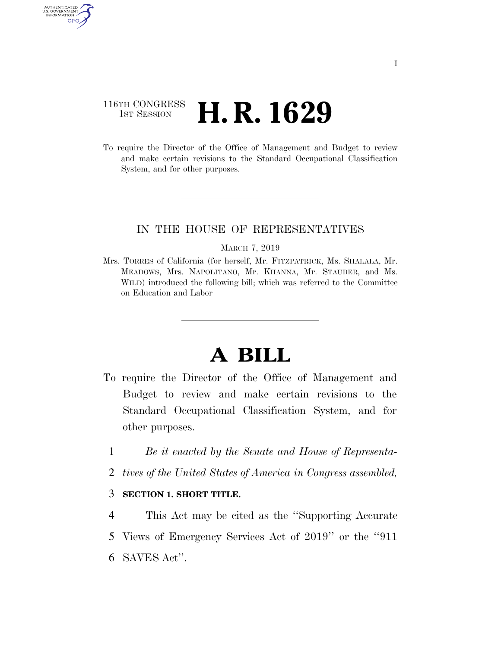## 116TH CONGRESS **1st Session H. R. 1629**

AUTHENTICATED U.S. GOVERNMENT GPO

> To require the Director of the Office of Management and Budget to review and make certain revisions to the Standard Occupational Classification System, and for other purposes.

### IN THE HOUSE OF REPRESENTATIVES

#### MARCH 7, 2019

Mrs. TORRES of California (for herself, Mr. FITZPATRICK, Ms. SHALALA, Mr. MEADOWS, Mrs. NAPOLITANO, Mr. KHANNA, Mr. STAUBER, and Ms. WILD) introduced the following bill; which was referred to the Committee on Education and Labor

# **A BILL**

- To require the Director of the Office of Management and Budget to review and make certain revisions to the Standard Occupational Classification System, and for other purposes.
	- 1 *Be it enacted by the Senate and House of Representa-*
	- 2 *tives of the United States of America in Congress assembled,*

### 3 **SECTION 1. SHORT TITLE.**

4 This Act may be cited as the ''Supporting Accurate 5 Views of Emergency Services Act of 2019'' or the ''911 6 SAVES Act''.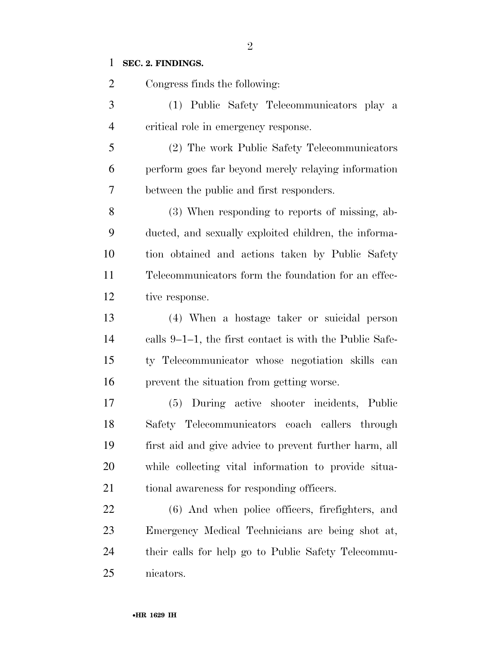## **SEC. 2. FINDINGS.**

| $\overline{2}$ | Congress finds the following:                           |
|----------------|---------------------------------------------------------|
| 3              | (1) Public Safety Telecommunicators play a              |
| $\overline{4}$ | critical role in emergency response.                    |
| 5              | (2) The work Public Safety Telecommunicators            |
| 6              | perform goes far beyond merely relaying information     |
| 7              | between the public and first responders.                |
| 8              | (3) When responding to reports of missing, ab-          |
| 9              | ducted, and sexually exploited children, the informa-   |
| 10             | tion obtained and actions taken by Public Safety        |
| 11             | Telecommunicators form the foundation for an effec-     |
| 12             | tive response.                                          |
| 13             | (4) When a hostage taker or suicidal person             |
| 14             | calls 9–1–1, the first contact is with the Public Safe- |
| 15             | ty Telecommunicator whose negotiation skills can        |
| 16             | prevent the situation from getting worse.               |
| 17             | (5) During active shooter incidents, Public             |
| 18             | Safety Telecommunicators coach callers through          |
| 19             | first aid and give advice to prevent further harm, all  |
| 20             | while collecting vital information to provide situa-    |
| 21             | tional awareness for responding officers.               |
| 22             | (6) And when police officers, firefighters, and         |
| 23             | Emergency Medical Technicians are being shot at,        |
| 24             | their calls for help go to Public Safety Telecommu-     |
| 25             | nicators.                                               |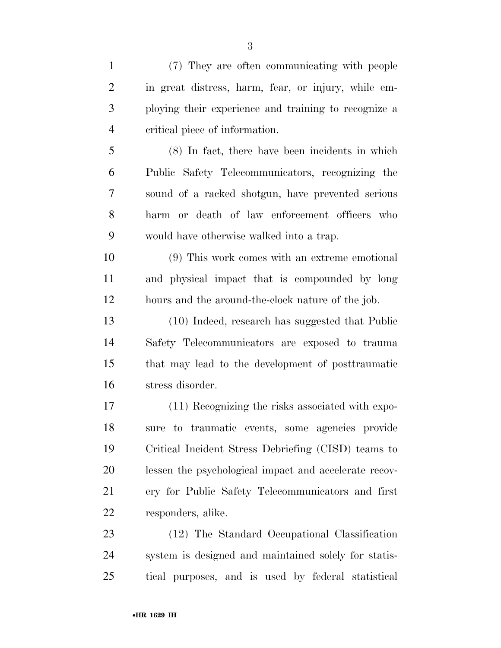| $\mathbf{1}$   | (7) They are often communicating with people          |
|----------------|-------------------------------------------------------|
| $\overline{2}$ | in great distress, harm, fear, or injury, while em-   |
| 3              | ploying their experience and training to recognize a  |
| $\overline{4}$ | critical piece of information.                        |
| 5              | $(8)$ In fact, there have been incidents in which     |
| 6              | Public Safety Telecommunicators, recognizing the      |
| 7              | sound of a racked shotgun, have prevented serious     |
| 8              | harm or death of law enforcement officers who         |
| 9              | would have otherwise walked into a trap.              |
| 10             | (9) This work comes with an extreme emotional         |
| 11             | and physical impact that is compounded by long        |
| 12             | hours and the around-the-clock nature of the job.     |
| 13             | (10) Indeed, research has suggested that Public       |
| 14             | Safety Telecommunicators are exposed to trauma        |
| 15             | that may lead to the development of posttraumatic     |
| 16             | stress disorder.                                      |
| 17             | (11) Recognizing the risks associated with expo-      |
| 18             | sure to traumatic events, some agencies provide       |
| 19             | Critical Incident Stress Debriefing (CISD) teams to   |
| 20             | lessen the psychological impact and accelerate recov- |
| 21             | ery for Public Safety Telecommunicators and first     |
| 22             | responders, alike.                                    |
| 23             | (12) The Standard Occupational Classification         |
| 24             | system is designed and maintained solely for statis-  |
| 25             | tical purposes, and is used by federal statistical    |